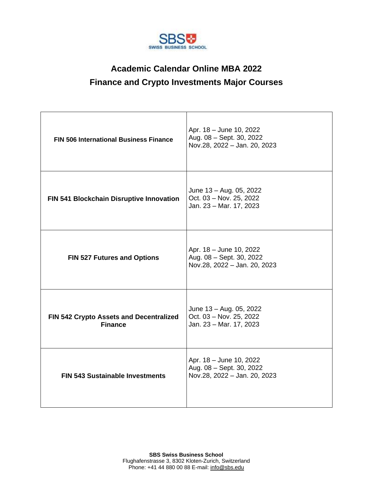

#### **Academic Calendar Online MBA 2022 Finance and Crypto Investments Major Courses**

| <b>FIN 506 International Business Finance</b>             | Apr. 18 - June 10, 2022<br>Aug. 08 - Sept. 30, 2022<br>Nov.28, 2022 - Jan. 20, 2023 |
|-----------------------------------------------------------|-------------------------------------------------------------------------------------|
| FIN 541 Blockchain Disruptive Innovation                  | June 13 - Aug. 05, 2022<br>Oct. 03 - Nov. 25, 2022<br>Jan. 23 - Mar. 17, 2023       |
| <b>FIN 527 Futures and Options</b>                        | Apr. 18 - June 10, 2022<br>Aug. 08 - Sept. 30, 2022<br>Nov.28, 2022 - Jan. 20, 2023 |
| FIN 542 Crypto Assets and Decentralized<br><b>Finance</b> | June 13 - Aug. 05, 2022<br>Oct. 03 - Nov. 25, 2022<br>Jan. 23 - Mar. 17, 2023       |
| <b>FIN 543 Sustainable Investments</b>                    | Apr. 18 - June 10, 2022<br>Aug. 08 - Sept. 30, 2022<br>Nov.28, 2022 - Jan. 20, 2023 |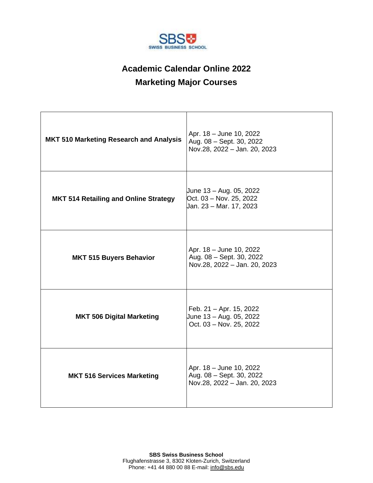

## **Academic Calendar Online 2022 Marketing Major Courses**

| <b>MKT 510 Marketing Research and Analysis</b> | Apr. 18 - June 10, 2022<br>Aug. 08 - Sept. 30, 2022<br>Nov.28, 2022 - Jan. 20, 2023 |
|------------------------------------------------|-------------------------------------------------------------------------------------|
| <b>MKT 514 Retailing and Online Strategy</b>   | June 13 – Aug. 05, 2022<br>Oct. 03 - Nov. 25, 2022<br>Jan. 23 – Mar. 17, 2023       |
| <b>MKT 515 Buyers Behavior</b>                 | Apr. 18 - June 10, 2022<br>Aug. 08 - Sept. 30, 2022<br>Nov.28, 2022 - Jan. 20, 2023 |
| <b>MKT 506 Digital Marketing</b>               | Feb. 21 - Apr. 15, 2022<br>June 13 - Aug. 05, 2022<br>Oct. 03 - Nov. 25, 2022       |
| <b>MKT 516 Services Marketing</b>              | Apr. 18 - June 10, 2022<br>Aug. 08 - Sept. 30, 2022<br>Nov.28, 2022 - Jan. 20, 2023 |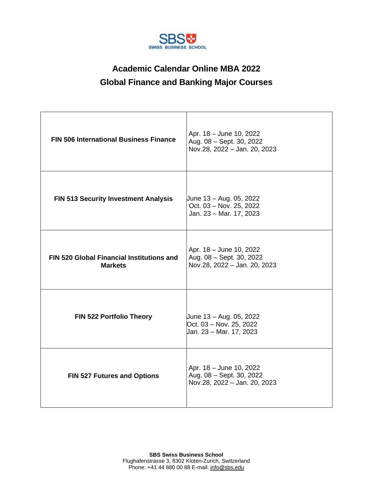

### **Academic Calendar Online MBA 2022 Global Finance and Banking Major Courses**

| <b>FIN 506 International Business Finance</b>                      | Apr. 18 - June 10, 2022<br>Aug. 08 - Sept. 30, 2022<br>Nov.28, 2022 - Jan. 20, 2023 |
|--------------------------------------------------------------------|-------------------------------------------------------------------------------------|
| <b>FIN 513 Security Investment Analysis</b>                        | June 13 - Aug. 05, 2022<br>Oct. 03 - Nov. 25, 2022<br>Jan. 23 - Mar. 17, 2023       |
| <b>FIN 520 Global Financial Institutions and</b><br><b>Markets</b> | Apr. 18 - June 10, 2022<br>Aug. 08 - Sept. 30, 2022<br>Nov.28, 2022 - Jan. 20, 2023 |
| FIN 522 Portfolio Theory                                           | Uune 13 - Aug. 05, 2022<br>Oct. 03 - Nov. 25, 2022<br>Jan. 23 – Mar. 17, 2023       |
| <b>FIN 527 Futures and Options</b>                                 | Apr. 18 - June 10, 2022<br>Aug. 08 - Sept. 30, 2022<br>Nov.28, 2022 - Jan. 20, 2023 |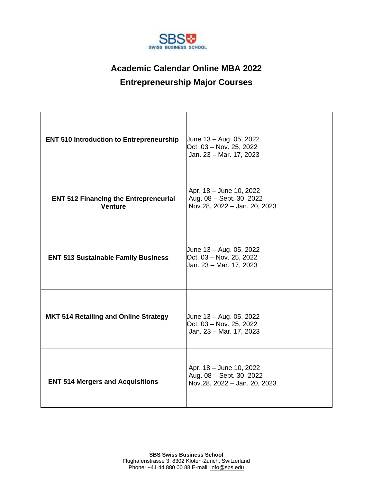

# **Academic Calendar Online MBA 2022 Entrepreneurship Major Courses**

| <b>ENT 510 Introduction to Entrepreneurship</b>                | June 13 - Aug. 05, 2022<br>Oct. 03 - Nov. 25, 2022<br>Jan. 23 - Mar. 17, 2023       |
|----------------------------------------------------------------|-------------------------------------------------------------------------------------|
| <b>ENT 512 Financing the Entrepreneurial</b><br><b>Venture</b> | Apr. 18 - June 10, 2022<br>Aug. 08 - Sept. 30, 2022<br>Nov.28, 2022 - Jan. 20, 2023 |
| <b>ENT 513 Sustainable Family Business</b>                     | June 13 - Aug. 05, 2022<br>Oct. 03 - Nov. 25, 2022<br>Jan. 23 – Mar. 17, 2023       |
| <b>MKT 514 Retailing and Online Strategy</b>                   | June 13 – Aug. 05, 2022<br>Oct. 03 - Nov. 25, 2022<br>Jan. 23 - Mar. 17, 2023       |
| <b>ENT 514 Mergers and Acquisitions</b>                        | Apr. 18 - June 10, 2022<br>Aug. 08 - Sept. 30, 2022<br>Nov.28, 2022 - Jan. 20, 2023 |